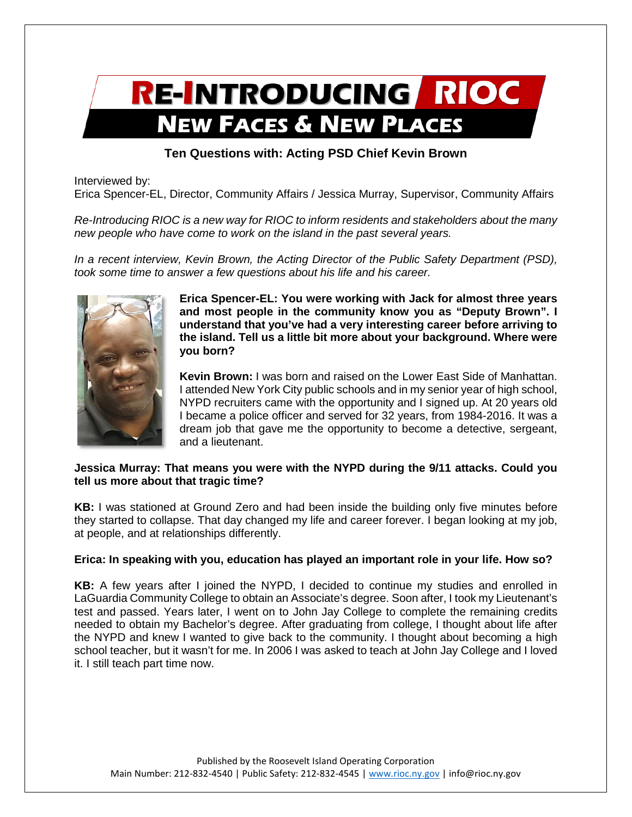# RE-INTRODUCING RIOC **NEW FACES & NEW PLACES**

## **Ten Questions with: Acting PSD Chief Kevin Brown**

Interviewed by:

Erica Spencer-EL, Director, Community Affairs / Jessica Murray, Supervisor, Community Affairs

*Re-Introducing RIOC is a new way for RIOC to inform residents and stakeholders about the many new people who have come to work on the island in the past several years.* 

*In a recent interview, Kevin Brown, the Acting Director of the Public Safety Department (PSD), took some time to answer a few questions about his life and his career.* 



**Erica Spencer-EL: You were working with Jack for almost three years and most people in the community know you as "Deputy Brown". I understand that you've had a very interesting career before arriving to the island. Tell us a little bit more about your background. Where were you born?**

**Kevin Brown:** I was born and raised on the Lower East Side of Manhattan. I attended New York City public schools and in my senior year of high school, NYPD recruiters came with the opportunity and I signed up. At 20 years old I became a police officer and served for 32 years, from 1984-2016. It was a dream job that gave me the opportunity to become a detective, sergeant, and a lieutenant.

#### **Jessica Murray: That means you were with the NYPD during the 9/11 attacks. Could you tell us more about that tragic time?**

**KB:** I was stationed at Ground Zero and had been inside the building only five minutes before they started to collapse. That day changed my life and career forever. I began looking at my job, at people, and at relationships differently.

## **Erica: In speaking with you, education has played an important role in your life. How so?**

**KB:** A few years after I joined the NYPD, I decided to continue my studies and enrolled in LaGuardia Community College to obtain an Associate's degree. Soon after, I took my Lieutenant's test and passed. Years later, I went on to John Jay College to complete the remaining credits needed to obtain my Bachelor's degree. After graduating from college, I thought about life after the NYPD and knew I wanted to give back to the community. I thought about becoming a high school teacher, but it wasn't for me. In 2006 I was asked to teach at John Jay College and I loved it. I still teach part time now.